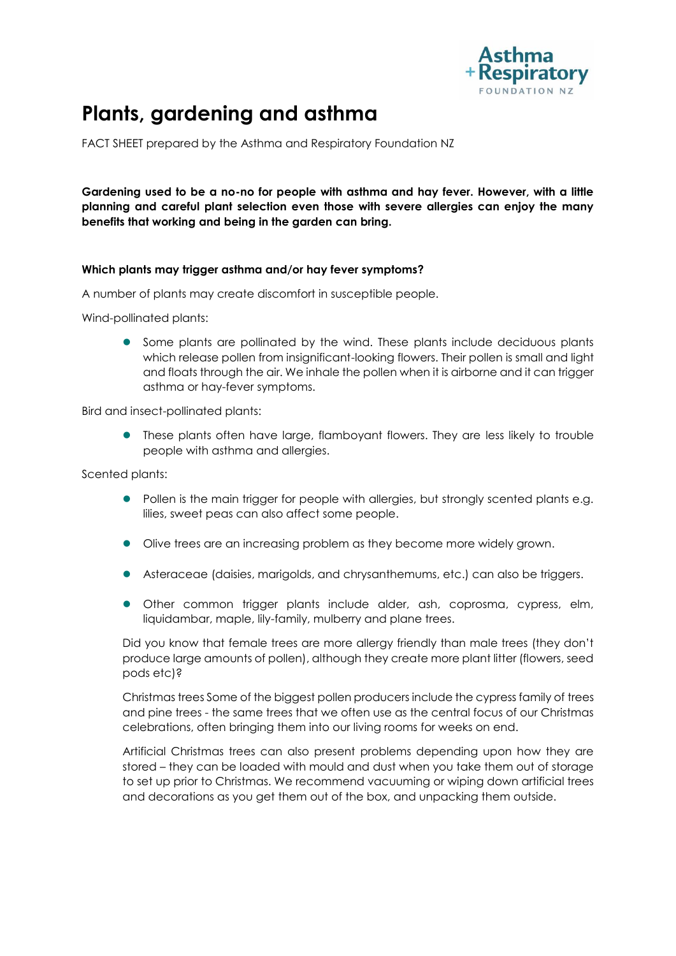

# **Plants, gardening and asthma**

FACT SHEET prepared by the Asthma and Respiratory Foundation NZ

**Gardening used to be a no-no for people with asthma and hay fever. However, with a little planning and careful plant selection even those with severe allergies can enjoy the many benefits that working and being in the garden can bring.** 

# **Which plants may trigger asthma and/or hay fever symptoms?**

A number of plants may create discomfort in susceptible people.

Wind-pollinated plants:

 Some plants are pollinated by the wind. These plants include deciduous plants which release pollen from insignificant-looking flowers. Their pollen is small and light and floats through the air. We inhale the pollen when it is airborne and it can trigger asthma or hay-fever symptoms.

Bird and insect-pollinated plants:

 These plants often have large, flamboyant flowers. They are less likely to trouble people with asthma and allergies.

Scented plants:

- Pollen is the main trigger for people with allergies, but strongly scented plants e.g. lilies, sweet peas can also affect some people.
- Olive trees are an increasing problem as they become more widely grown.
- Asteraceae (daisies, marigolds, and chrysanthemums, etc.) can also be triggers.
- Other common trigger plants include alder, ash, coprosma, cypress, elm, liquidambar, maple, lily-family, mulberry and plane trees.

Did you know that female trees are more allergy friendly than male trees (they don't produce large amounts of pollen), although they create more plant litter (flowers, seed pods etc)?

Christmas trees Some of the biggest pollen producers include the cypress family of trees and pine trees - the same trees that we often use as the central focus of our Christmas celebrations, often bringing them into our living rooms for weeks on end.

Artificial Christmas trees can also present problems depending upon how they are stored – they can be loaded with mould and dust when you take them out of storage to set up prior to Christmas. We recommend vacuuming or wiping down artificial trees and decorations as you get them out of the box, and unpacking them outside.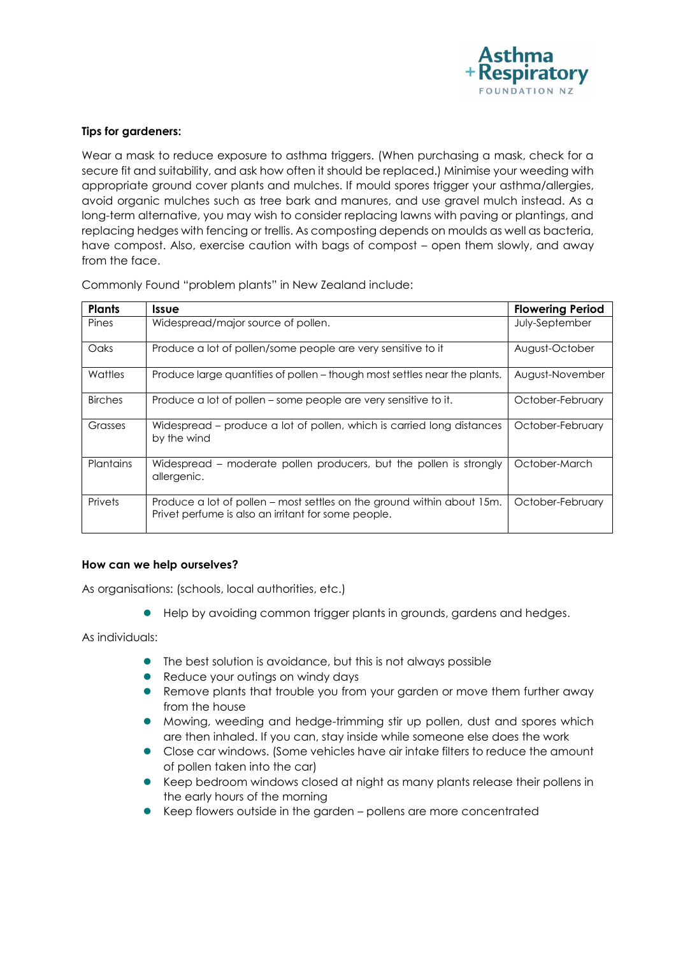

### **Tips for gardeners:**

Wear a mask to reduce exposure to asthma triggers. (When purchasing a mask, check for a secure fit and suitability, and ask how often it should be replaced.) Minimise your weeding with appropriate ground cover plants and mulches. If mould spores trigger your asthma/allergies, avoid organic mulches such as tree bark and manures, and use gravel mulch instead. As a long-term alternative, you may wish to consider replacing lawns with paving or plantings, and replacing hedges with fencing or trellis. As composting depends on moulds as well as bacteria, have compost. Also, exercise caution with bags of compost – open them slowly, and away from the face.

Commonly Found "problem plants" in New Zealand include:

| <b>Plants</b>    | <b>Issue</b>                                                                                                                  | <b>Flowering Period</b> |
|------------------|-------------------------------------------------------------------------------------------------------------------------------|-------------------------|
| Pines            | Widespread/major source of pollen.                                                                                            | July-September          |
| Oaks             | Produce a lot of pollen/some people are very sensitive to it                                                                  | August-October          |
| Wattles          | Produce large quantities of pollen - though most settles near the plants.                                                     | August-November         |
| <b>Birches</b>   | Produce a lot of pollen – some people are very sensitive to it.                                                               | October-February        |
| Grasses          | Widespread – produce a lot of pollen, which is carried long distances<br>by the wind                                          | October-February        |
| <b>Plantains</b> | Widespread – moderate pollen producers, but the pollen is strongly<br>allergenic.                                             | October-March           |
| Privets          | Produce a lot of pollen – most settles on the ground within about 15m.<br>Privet perfume is also an irritant for some people. | October-February        |

#### **How can we help ourselves?**

As organisations: (schools, local authorities, etc.)

Help by avoiding common trigger plants in grounds, gardens and hedges.

As individuals:

- The best solution is avoidance, but this is not always possible
- **•** Reduce your outings on windy days
- Remove plants that trouble you from your garden or move them further away from the house
- Mowing, weeding and hedge-trimming stir up pollen, dust and spores which are then inhaled. If you can, stay inside while someone else does the work
- Close car windows. (Some vehicles have air intake filters to reduce the amount of pollen taken into the car)
- Keep bedroom windows closed at night as many plants release their pollens in the early hours of the morning
- Keep flowers outside in the garden pollens are more concentrated